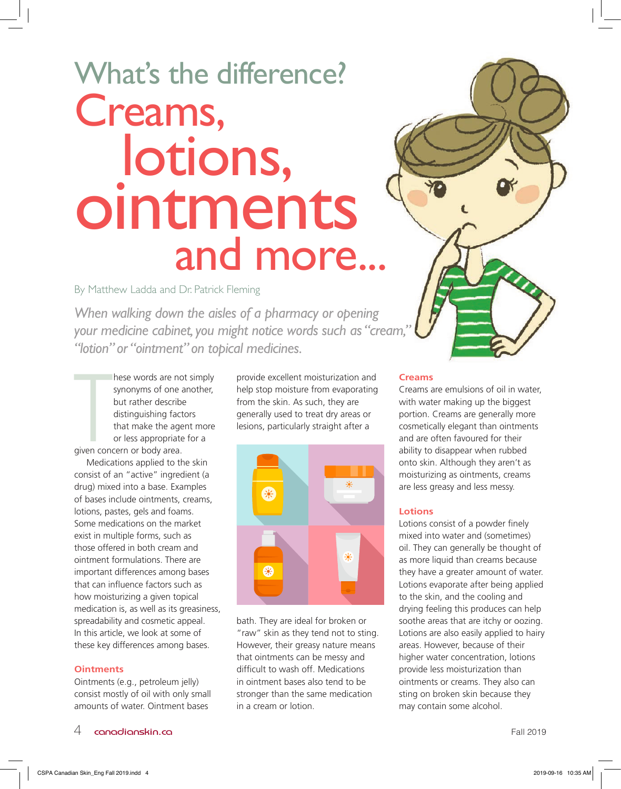# Creams, lotions, ointments and more... What's the difference?

# By Matthew Ladda and Dr. Patrick Fleming

*When walking down the aisles of a pharmacy or opening your medicine cabinet, you might notice words such as "cream," "lotion" or "ointment" on topical medicines.* 

These words are no<br>synonyms of one a<br>but rather describe<br>distinguishing fact<br>that make the age<br>or less appropriate<br>given concern or body area. hese words are not simply synonyms of one another, but rather describe distinguishing factors that make the agent more or less appropriate for a

Medications applied to the skin consist of an "active" ingredient (a drug) mixed into a base. Examples of bases include ointments, creams, lotions, pastes, gels and foams. Some medications on the market exist in multiple forms, such as those offered in both cream and ointment formulations. There are important differences among bases that can influence factors such as how moisturizing a given topical medication is, as well as its greasiness, spreadability and cosmetic appeal. In this article, we look at some of these key differences among bases.

# **Ointments**

Ointments (e.g., petroleum jelly) consist mostly of oil with only small amounts of water. Ointment bases

provide excellent moisturization and help stop moisture from evaporating from the skin. As such, they are generally used to treat dry areas or lesions, particularly straight after a



bath. They are ideal for broken or "raw" skin as they tend not to sting. However, their greasy nature means that ointments can be messy and difficult to wash off. Medications in ointment bases also tend to be stronger than the same medication in a cream or lotion.

### **Creams**

Creams are emulsions of oil in water, with water making up the biggest portion. Creams are generally more cosmetically elegant than ointments and are often favoured for their ability to disappear when rubbed onto skin. Although they aren't as moisturizing as ointments, creams are less greasy and less messy.

### **Lotions**

Lotions consist of a powder finely mixed into water and (sometimes) oil. They can generally be thought of as more liquid than creams because they have a greater amount of water. Lotions evaporate after being applied to the skin, and the cooling and drying feeling this produces can help soothe areas that are itchy or oozing. Lotions are also easily applied to hairy areas. However, because of their higher water concentration, lotions provide less moisturization than ointments or creams. They also can sting on broken skin because they may contain some alcohol.